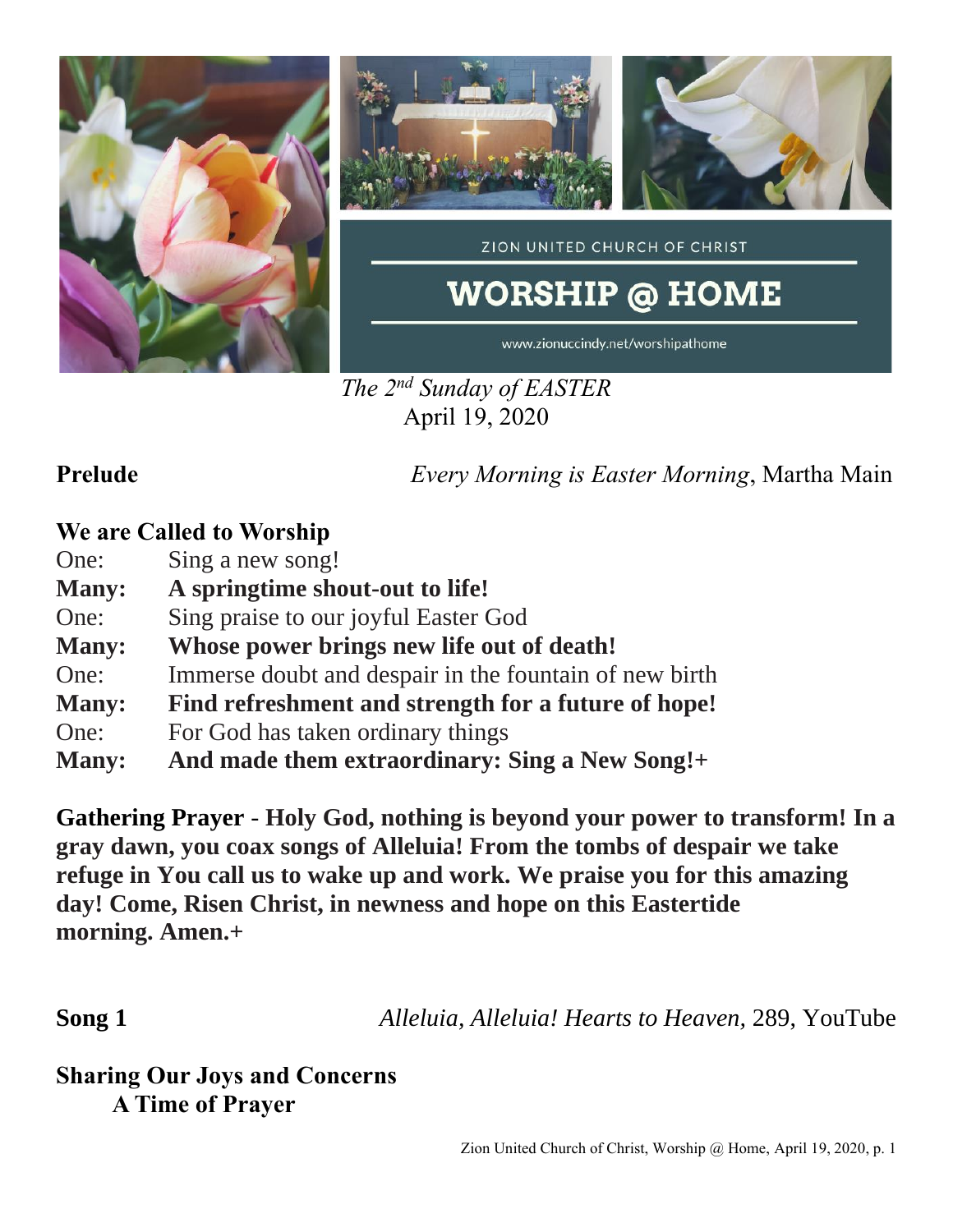

*The 2 nd Sunday of EASTER* April 19, 2020

**Prelude** *Every Morning is Easter Morning*, Martha Main

## **We are Called to Worship**

One: Sing a new song!

- **Many: A springtime shout-out to life!**
- One: Sing praise to our joyful Easter God
- **Many: Whose power brings new life out of death!**
- One: Immerse doubt and despair in the fountain of new birth
- **Many: Find refreshment and strength for a future of hope!**
- One: For God has taken ordinary things
- **Many: And made them extraordinary: Sing a New Song!+**

**Gathering Prayer** - **Holy God, nothing is beyond your power to transform! In a gray dawn, you coax songs of Alleluia! From the tombs of despair we take refuge in You call us to wake up and work. We praise you for this amazing day! Come, Risen Christ, in newness and hope on this Eastertide morning. Amen.+**

**Song 1** *Alleluia, Alleluia! Hearts to Heaven,* 289, YouTube

**Sharing Our Joys and Concerns A Time of Prayer**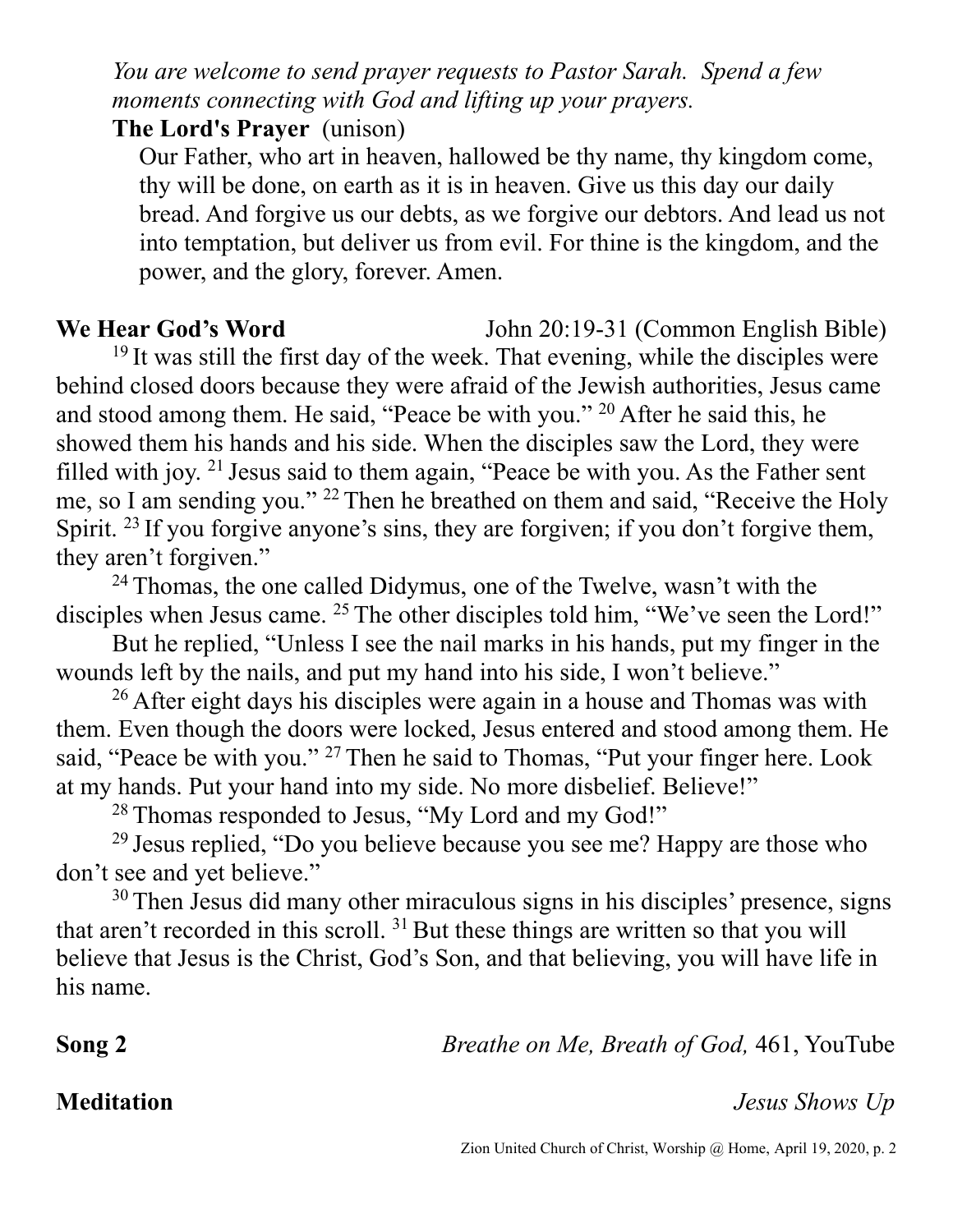*You are welcome to send prayer requests to Pastor Sarah. Spend a few moments connecting with God and lifting up your prayers.*

**The Lord's Prayer** (unison)

Our Father, who art in heaven, hallowed be thy name, thy kingdom come, thy will be done, on earth as it is in heaven. Give us this day our daily bread. And forgive us our debts, as we forgive our debtors. And lead us not into temptation, but deliver us from evil. For thine is the kingdom, and the power, and the glory, forever. Amen.

**We Hear God's Word** John 20:19-31 (Common English Bible)  $19$  It was still the first day of the week. That evening, while the disciples were behind closed doors because they were afraid of the Jewish authorities, Jesus came and stood among them. He said, "Peace be with you." <sup>20</sup> After he said this, he showed them his hands and his side. When the disciples saw the Lord, they were filled with joy. <sup>21</sup> Jesus said to them again, "Peace be with you. As the Father sent me, so I am sending you." <sup>22</sup> Then he breathed on them and said, "Receive the Holy Spirit. <sup>23</sup> If you forgive anyone's sins, they are forgiven; if you don't forgive them, they aren't forgiven."

<sup>24</sup> Thomas, the one called Didymus, one of the Twelve, wasn't with the disciples when Jesus came. <sup>25</sup> The other disciples told him, "We've seen the Lord!"

But he replied, "Unless I see the nail marks in his hands, put my finger in the wounds left by the nails, and put my hand into his side, I won't believe."

<sup>26</sup> After eight days his disciples were again in a house and Thomas was with them. Even though the doors were locked, Jesus entered and stood among them. He said, "Peace be with you." <sup>27</sup> Then he said to Thomas, "Put your finger here. Look at my hands. Put your hand into my side. No more disbelief. Believe!"

<sup>28</sup> Thomas responded to Jesus, "My Lord and my God!"

<sup>29</sup> Jesus replied, "Do you believe because you see me? Happy are those who don't see and yet believe."

<sup>30</sup> Then Jesus did many other miraculous signs in his disciples' presence, signs that aren't recorded in this scroll.  $31$  But these things are written so that you will believe that Jesus is the Christ, God's Son, and that believing, you will have life in his name.

**Song 2** *Breathe on Me, Breath of God,* 461, YouTube

## **Meditation** *Jesus Shows Up*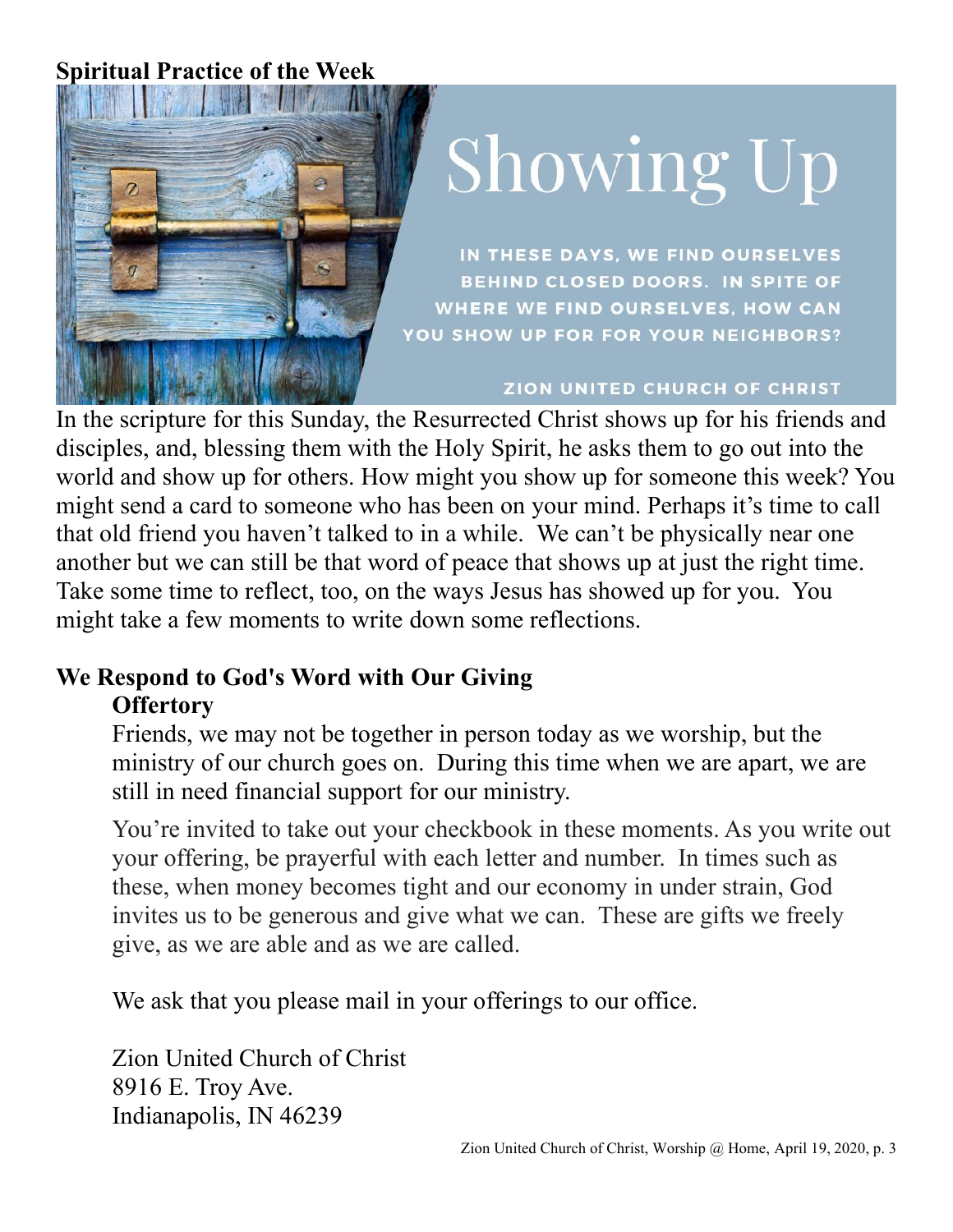## **Spiritual Practice of the Week**



# Showing Up

IN THESE DAYS, WE FIND OURSELVES **BEHIND CLOSED DOORS. IN SPITE OF** WHERE WE FIND OURSELVES, HOW CAN YOU SHOW UP FOR FOR YOUR NEIGHBORS?

### ZION UNITED CHURCH OF CHRIST

In the scripture for this Sunday, the Resurrected Christ shows up for his friends and disciples, and, blessing them with the Holy Spirit, he asks them to go out into the world and show up for others. How might you show up for someone this week? You might send a card to someone who has been on your mind. Perhaps it's time to call that old friend you haven't talked to in a while. We can't be physically near one another but we can still be that word of peace that shows up at just the right time. Take some time to reflect, too, on the ways Jesus has showed up for you. You might take a few moments to write down some reflections.

### **We Respond to God's Word with Our Giving Offertory**

Friends, we may not be together in person today as we worship, but the ministry of our church goes on. During this time when we are apart, we are still in need financial support for our ministry.

You're invited to take out your checkbook in these moments. As you write out your offering, be prayerful with each letter and number. In times such as these, when money becomes tight and our economy in under strain, God invites us to be generous and give what we can. These are gifts we freely give, as we are able and as we are called.

We ask that you please mail in your offerings to our office.

Zion United Church of Christ 8916 E. Troy Ave. Indianapolis, IN 46239